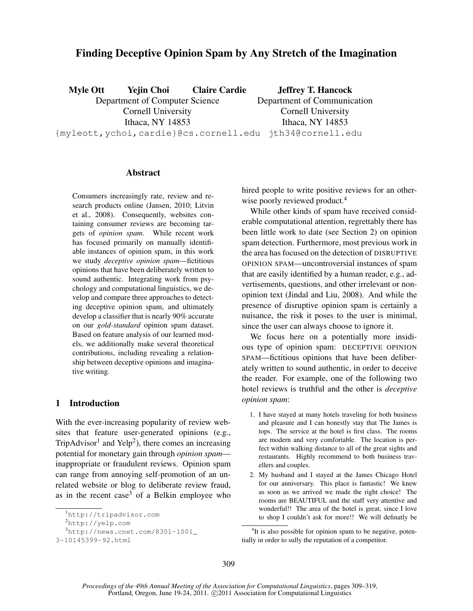# Finding Deceptive Opinion Spam by Any Stretch of the Imagination

Myle Ott Yejin Choi Claire Cardie Department of Computer Science Cornell University Ithaca, NY 14853 {myleott,ychoi,cardie}@cs.cornell.edu jth34@cornell.edu Jeffrey T. Hancock Department of Communication Cornell University Ithaca, NY 14853

#### Abstract

Consumers increasingly rate, review and research products online (Jansen, 2010; Litvin et al., 2008). Consequently, websites containing consumer reviews are becoming targets of *opinion spam*. While recent work has focused primarily on manually identifiable instances of opinion spam, in this work we study *deceptive opinion spam*—fictitious opinions that have been deliberately written to sound authentic. Integrating work from psychology and computational linguistics, we develop and compare three approaches to detecting deceptive opinion spam, and ultimately develop a classifier that is nearly 90% accurate on our *gold-standard* opinion spam dataset. Based on feature analysis of our learned models, we additionally make several theoretical contributions, including revealing a relationship between deceptive opinions and imaginative writing.

# 1 Introduction

With the ever-increasing popularity of review websites that feature user-generated opinions (e.g., TripAdvisor<sup>1</sup> and Yelp<sup>2</sup>), there comes an increasing potential for monetary gain through *opinion spam* inappropriate or fraudulent reviews. Opinion spam can range from annoying self-promotion of an unrelated website or blog to deliberate review fraud, as in the recent case<sup>3</sup> of a Belkin employee who hired people to write positive reviews for an otherwise poorly reviewed product.<sup>4</sup>

While other kinds of spam have received considerable computational attention, regrettably there has been little work to date (see Section 2) on opinion spam detection. Furthermore, most previous work in the area has focused on the detection of DISRUPTIVE OPINION SPAM—uncontroversial instances of spam that are easily identified by a human reader, e.g., advertisements, questions, and other irrelevant or nonopinion text (Jindal and Liu, 2008). And while the presence of disruptive opinion spam is certainly a nuisance, the risk it poses to the user is minimal, since the user can always choose to ignore it.

We focus here on a potentially more insidious type of opinion spam: DECEPTIVE OPINION SPAM—fictitious opinions that have been deliberately written to sound authentic, in order to deceive the reader. For example, one of the following two hotel reviews is truthful and the other is *deceptive opinion spam*:

- 1. I have stayed at many hotels traveling for both business and pleasure and I can honestly stay that The James is tops. The service at the hotel is first class. The rooms are modern and very comfortable. The location is perfect within walking distance to all of the great sights and restaurants. Highly recommend to both business travellers and couples.
- 2. My husband and I stayed at the James Chicago Hotel for our anniversary. This place is fantastic! We knew as soon as we arrived we made the right choice! The rooms are BEAUTIFUL and the staff very attentive and wonderful!! The area of the hotel is great, since I love to shop I couldn't ask for more!! We will definatly be

<sup>1</sup> http://tripadvisor.com

<sup>2</sup> http://yelp.com

<sup>3</sup> http://news.cnet.com/8301-1001\_

<sup>3-10145399-92.</sup>html

<sup>&</sup>lt;sup>4</sup>It is also possible for opinion spam to be negative, potentially in order to sully the reputation of a competitor.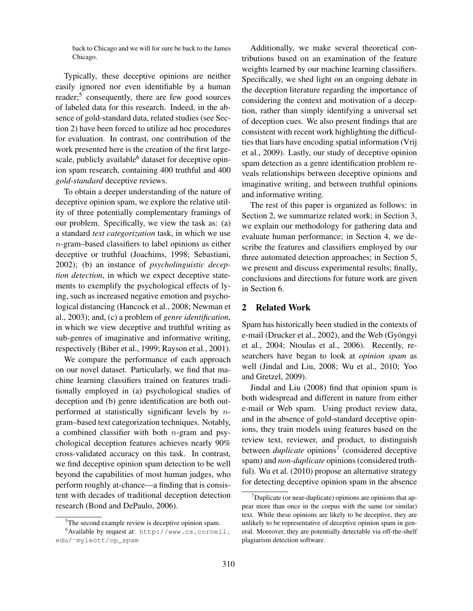back to Chicago and we will for sure be back to the James Chicago.

Typically, these deceptive opinions are neither easily ignored nor even identifiable by a human reader; $5$  consequently, there are few good sources of labeled data for this research. Indeed, in the absence of gold-standard data, related studies (see Section 2) have been forced to utilize ad hoc procedures for evaluation. In contrast, one contribution of the work presented here is the creation of the first largescale, publicly available $<sup>6</sup>$  dataset for deceptive opin-</sup> ion spam research, containing 400 truthful and 400 *gold-standard* deceptive reviews.

To obtain a deeper understanding of the nature of deceptive opinion spam, we explore the relative utility of three potentially complementary framings of our problem. Specifically, we view the task as: (a) a standard *text categorization* task, in which we use n-gram–based classifiers to label opinions as either deceptive or truthful (Joachims, 1998; Sebastiani, 2002); (b) an instance of *psycholinguistic deception detection*, in which we expect deceptive statements to exemplify the psychological effects of lying, such as increased negative emotion and psychological distancing (Hancock et al., 2008; Newman et al., 2003); and, (c) a problem of *genre identification*, in which we view deceptive and truthful writing as sub-genres of imaginative and informative writing, respectively (Biber et al., 1999; Rayson et al., 2001).

We compare the performance of each approach on our novel dataset. Particularly, we find that machine learning classifiers trained on features traditionally employed in (a) psychological studies of deception and (b) genre identification are both outperformed at statistically significant levels by  $n$ gram–based text categorization techniques. Notably, a combined classifier with both  $n$ -gram and psychological deception features achieves nearly 90% cross-validated accuracy on this task. In contrast, we find deceptive opinion spam detection to be well beyond the capabilities of most human judges, who perform roughly at-chance—a finding that is consistent with decades of traditional deception detection research (Bond and DePaulo, 2006).

Additionally, we make several theoretical contributions based on an examination of the feature weights learned by our machine learning classifiers. Specifically, we shed light on an ongoing debate in the deception literature regarding the importance of considering the context and motivation of a deception, rather than simply identifying a universal set of deception cues. We also present findings that are consistent with recent work highlighting the difficulties that liars have encoding spatial information (Vrij et al., 2009). Lastly, our study of deceptive opinion spam detection as a genre identification problem reveals relationships between deceptive opinions and imaginative writing, and between truthful opinions and informative writing.

The rest of this paper is organized as follows: in Section 2, we summarize related work; in Section 3, we explain our methodology for gathering data and evaluate human performance; in Section 4, we describe the features and classifiers employed by our three automated detection approaches; in Section 5, we present and discuss experimental results; finally, conclusions and directions for future work are given in Section 6.

#### 2 Related Work

Spam has historically been studied in the contexts of e-mail (Drucker et al., 2002), and the Web (Gyöngyi et al., 2004; Ntoulas et al., 2006). Recently, researchers have began to look at *opinion spam* as well (Jindal and Liu, 2008; Wu et al., 2010; Yoo and Gretzel, 2009).

Jindal and Liu (2008) find that opinion spam is both widespread and different in nature from either e-mail or Web spam. Using product review data, and in the absence of gold-standard deceptive opinions, they train models using features based on the review text, reviewer, and product, to distinguish between *duplicate* opinions<sup>7</sup> (considered deceptive spam) and *non-duplicate* opinions (considered truthful). Wu et al. (2010) propose an alternative strategy for detecting deceptive opinion spam in the absence

<sup>&</sup>lt;sup>5</sup>The second example review is deceptive opinion spam.

<sup>6</sup> Available by request at: http://www.cs.cornell. edu/˜myleott/op\_spam

 $7$ Duplicate (or near-duplicate) opinions are opinions that appear more than once in the corpus with the same (or similar) text. While these opinions are likely to be deceptive, they are unlikely to be representative of deceptive opinion spam in general. Moreover, they are potentially detectable via off-the-shelf plagiarism detection software.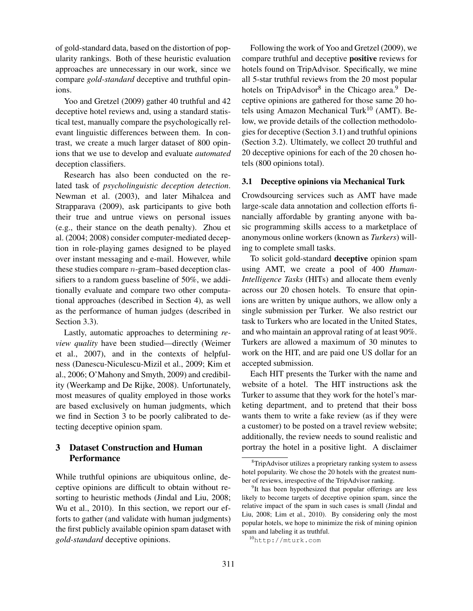of gold-standard data, based on the distortion of popularity rankings. Both of these heuristic evaluation approaches are unnecessary in our work, since we compare *gold-standard* deceptive and truthful opinions.

Yoo and Gretzel (2009) gather 40 truthful and 42 deceptive hotel reviews and, using a standard statistical test, manually compare the psychologically relevant linguistic differences between them. In contrast, we create a much larger dataset of 800 opinions that we use to develop and evaluate *automated* deception classifiers.

Research has also been conducted on the related task of *psycholinguistic deception detection*. Newman et al. (2003), and later Mihalcea and Strapparava (2009), ask participants to give both their true and untrue views on personal issues (e.g., their stance on the death penalty). Zhou et al. (2004; 2008) consider computer-mediated deception in role-playing games designed to be played over instant messaging and e-mail. However, while these studies compare n-gram–based deception classifiers to a random guess baseline of 50%, we additionally evaluate and compare two other computational approaches (described in Section 4), as well as the performance of human judges (described in Section 3.3).

Lastly, automatic approaches to determining *review quality* have been studied—directly (Weimer et al., 2007), and in the contexts of helpfulness (Danescu-Niculescu-Mizil et al., 2009; Kim et al., 2006; O'Mahony and Smyth, 2009) and credibility (Weerkamp and De Rijke, 2008). Unfortunately, most measures of quality employed in those works are based exclusively on human judgments, which we find in Section 3 to be poorly calibrated to detecting deceptive opinion spam.

# 3 Dataset Construction and Human **Performance**

While truthful opinions are ubiquitous online, deceptive opinions are difficult to obtain without resorting to heuristic methods (Jindal and Liu, 2008; Wu et al., 2010). In this section, we report our efforts to gather (and validate with human judgments) the first publicly available opinion spam dataset with *gold-standard* deceptive opinions.

Following the work of Yoo and Gretzel (2009), we compare truthful and deceptive positive reviews for hotels found on TripAdvisor. Specifically, we mine all 5-star truthful reviews from the 20 most popular hotels on TripAdvisor<sup>8</sup> in the Chicago area.<sup>9</sup> Deceptive opinions are gathered for those same 20 hotels using Amazon Mechanical Turk<sup>10</sup> (AMT). Below, we provide details of the collection methodologies for deceptive (Section 3.1) and truthful opinions (Section 3.2). Ultimately, we collect 20 truthful and 20 deceptive opinions for each of the 20 chosen hotels (800 opinions total).

### 3.1 Deceptive opinions via Mechanical Turk

Crowdsourcing services such as AMT have made large-scale data annotation and collection efforts financially affordable by granting anyone with basic programming skills access to a marketplace of anonymous online workers (known as *Turkers*) willing to complete small tasks.

To solicit gold-standard deceptive opinion spam using AMT, we create a pool of 400 *Human-Intelligence Tasks* (HITs) and allocate them evenly across our 20 chosen hotels. To ensure that opinions are written by unique authors, we allow only a single submission per Turker. We also restrict our task to Turkers who are located in the United States, and who maintain an approval rating of at least 90%. Turkers are allowed a maximum of 30 minutes to work on the HIT, and are paid one US dollar for an accepted submission.

Each HIT presents the Turker with the name and website of a hotel. The HIT instructions ask the Turker to assume that they work for the hotel's marketing department, and to pretend that their boss wants them to write a fake review (as if they were a customer) to be posted on a travel review website; additionally, the review needs to sound realistic and portray the hotel in a positive light. A disclaimer

<sup>&</sup>lt;sup>8</sup>TripAdvisor utilizes a proprietary ranking system to assess hotel popularity. We chose the 20 hotels with the greatest number of reviews, irrespective of the TripAdvisor ranking.

<sup>&</sup>lt;sup>9</sup>It has been hypothesized that popular offerings are less likely to become targets of deceptive opinion spam, since the relative impact of the spam in such cases is small (Jindal and Liu, 2008; Lim et al., 2010). By considering only the most popular hotels, we hope to minimize the risk of mining opinion spam and labeling it as truthful.

<sup>10</sup>http://mturk.com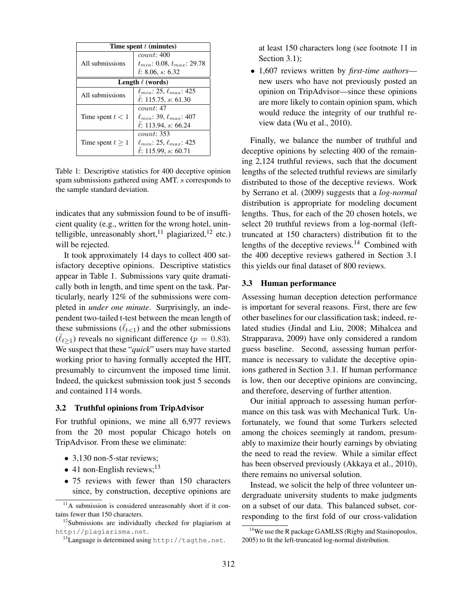| Time spent $t$ (minutes) |                                       |  |  |  |  |
|--------------------------|---------------------------------------|--|--|--|--|
|                          | count: 400                            |  |  |  |  |
| All submissions          | $t_{min}$ : 0.08, $t_{max}$ : 29.78   |  |  |  |  |
|                          | t: 8.06, s: 6.32                      |  |  |  |  |
| Length $\ell$ (words)    |                                       |  |  |  |  |
| All submissions          | $\ell_{min}$ : 25, $\ell_{max}$ : 425 |  |  |  |  |
|                          | $\ell$ : 115.75, s: 61.30             |  |  |  |  |
|                          | count: 47                             |  |  |  |  |
| Time spent $t < 1$       | $\ell_{min}$ : 39, $\ell_{max}$ : 407 |  |  |  |  |
|                          | $\ell$ : 113.94, s: 66.24             |  |  |  |  |
|                          | <i>count</i> : 353                    |  |  |  |  |
| Time spent $t > 1$       | $\ell_{min}$ : 25, $\ell_{max}$ : 425 |  |  |  |  |
|                          | $\ell$ : 115.99, s: 60.71             |  |  |  |  |

Table 1: Descriptive statistics for 400 deceptive opinion spam submissions gathered using AMT. s corresponds to the sample standard deviation.

indicates that any submission found to be of insufficient quality (e.g., written for the wrong hotel, unintelligible, unreasonably short,<sup>11</sup> plagiarized,<sup>12</sup> etc.) will be rejected.

It took approximately 14 days to collect 400 satisfactory deceptive opinions. Descriptive statistics appear in Table 1. Submissions vary quite dramatically both in length, and time spent on the task. Particularly, nearly 12% of the submissions were completed in *under one minute*. Surprisingly, an independent two-tailed t-test between the mean length of these submissions  $(\bar{\ell}_{t<1})$  and the other submissions  $(\bar{\ell}_{t>1})$  reveals no significant difference ( $p = 0.83$ ). We suspect that these "*quick*" users may have started working prior to having formally accepted the HIT, presumably to circumvent the imposed time limit. Indeed, the quickest submission took just 5 seconds and contained 114 words.

### 3.2 Truthful opinions from TripAdvisor

For truthful opinions, we mine all 6,977 reviews from the 20 most popular Chicago hotels on TripAdvisor. From these we eliminate:

- 3,130 non-5-star reviews;
- 41 non-English reviews;<sup>13</sup>
- 75 reviews with fewer than 150 characters since, by construction, deceptive opinions are

at least 150 characters long (see footnote 11 in Section 3.1);

*•* 1,607 reviews written by *first-time authors* new users who have not previously posted an opinion on TripAdvisor—since these opinions are more likely to contain opinion spam, which would reduce the integrity of our truthful review data (Wu et al., 2010).

Finally, we balance the number of truthful and deceptive opinions by selecting 400 of the remaining 2,124 truthful reviews, such that the document lengths of the selected truthful reviews are similarly distributed to those of the deceptive reviews. Work by Serrano et al. (2009) suggests that a *log-normal* distribution is appropriate for modeling document lengths. Thus, for each of the 20 chosen hotels, we select 20 truthful reviews from a log-normal (lefttruncated at 150 characters) distribution fit to the lengths of the deceptive reviews.<sup>14</sup> Combined with the 400 deceptive reviews gathered in Section 3.1 this yields our final dataset of 800 reviews.

#### 3.3 Human performance

Assessing human deception detection performance is important for several reasons. First, there are few other baselines for our classification task; indeed, related studies (Jindal and Liu, 2008; Mihalcea and Strapparava, 2009) have only considered a random guess baseline. Second, assessing human performance is necessary to validate the deceptive opinions gathered in Section 3.1. If human performance is low, then our deceptive opinions are convincing, and therefore, deserving of further attention.

Our initial approach to assessing human performance on this task was with Mechanical Turk. Unfortunately, we found that some Turkers selected among the choices seemingly at random, presumably to maximize their hourly earnings by obviating the need to read the review. While a similar effect has been observed previously (Akkaya et al., 2010), there remains no universal solution.

Instead, we solicit the help of three volunteer undergraduate university students to make judgments on a subset of our data. This balanced subset, corresponding to the first fold of our cross-validation

 $11A$  submission is considered unreasonably short if it contains fewer than 150 characters.

 $12$ Submissions are individually checked for plagiarism at http://plagiarisma.net.

 $^{13}$ Language is determined using http://tagthe.net.

<sup>&</sup>lt;sup>14</sup>We use the R package GAMLSS (Rigby and Stasinopoulos, 2005) to fit the left-truncated log-normal distribution.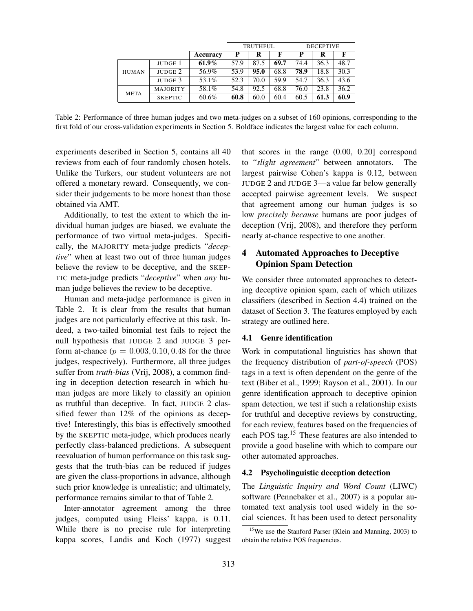|              |                 |          | <b>TRUTHFUL</b> |      |      | <b>DECEPTIVE</b> |      |      |
|--------------|-----------------|----------|-----------------|------|------|------------------|------|------|
|              |                 | Accuracy | P               | R    | F    | P                | R    | F    |
|              | JUDGE 1         | $61.9\%$ | 57.9            | 87.5 | 69.7 | 74.4             | 36.3 | 48.7 |
| <b>HUMAN</b> | JUDGE 2         | 56.9%    | 53.9            | 95.0 | 68.8 | 78.9             | 18.8 | 30.3 |
|              | JUDGE 3         | 53.1%    | 52.3            | 70.0 | 59.9 | 54.7             | 36.3 | 43.6 |
| <b>META</b>  | <b>MAJORITY</b> | 58.1%    | 54.8            | 92.5 | 68.8 | 76.0             | 23.8 | 36.2 |
|              | <b>SKEPTIC</b>  | 60.6%    | 60.8            | 60.0 | 60.4 | 60.5             | 61.3 | 60.9 |

Table 2: Performance of three human judges and two meta-judges on a subset of 160 opinions, corresponding to the first fold of our cross-validation experiments in Section 5. Boldface indicates the largest value for each column.

experiments described in Section 5, contains all 40 reviews from each of four randomly chosen hotels. Unlike the Turkers, our student volunteers are not offered a monetary reward. Consequently, we consider their judgements to be more honest than those obtained via AMT.

Additionally, to test the extent to which the individual human judges are biased, we evaluate the performance of two virtual meta-judges. Specifically, the MAJORITY meta-judge predicts "*deceptive*" when at least two out of three human judges believe the review to be deceptive, and the SKEP-TIC meta-judge predicts "*deceptive*" when *any* human judge believes the review to be deceptive.

Human and meta-judge performance is given in Table 2. It is clear from the results that human judges are not particularly effective at this task. Indeed, a two-tailed binomial test fails to reject the null hypothesis that JUDGE 2 and JUDGE 3 perform at-chance  $(p = 0.003, 0.10, 0.48)$  for the three judges, respectively). Furthermore, all three judges suffer from *truth-bias* (Vrij, 2008), a common finding in deception detection research in which human judges are more likely to classify an opinion as truthful than deceptive. In fact, JUDGE 2 classified fewer than 12% of the opinions as deceptive! Interestingly, this bias is effectively smoothed by the SKEPTIC meta-judge, which produces nearly perfectly class-balanced predictions. A subsequent reevaluation of human performance on this task suggests that the truth-bias can be reduced if judges are given the class-proportions in advance, although such prior knowledge is unrealistic; and ultimately, performance remains similar to that of Table 2.

Inter-annotator agreement among the three judges, computed using Fleiss' kappa, is 0.11. While there is no precise rule for interpreting kappa scores, Landis and Koch (1977) suggest that scores in the range (0.00, 0.20] correspond to "*slight agreement*" between annotators. The largest pairwise Cohen's kappa is 0.12, between JUDGE 2 and JUDGE 3—a value far below generally accepted pairwise agreement levels. We suspect that agreement among our human judges is so low *precisely because* humans are poor judges of deception (Vrij, 2008), and therefore they perform nearly at-chance respective to one another.

# 4 Automated Approaches to Deceptive Opinion Spam Detection

We consider three automated approaches to detecting deceptive opinion spam, each of which utilizes classifiers (described in Section 4.4) trained on the dataset of Section 3. The features employed by each strategy are outlined here.

## 4.1 Genre identification

Work in computational linguistics has shown that the frequency distribution of *part-of-speech* (POS) tags in a text is often dependent on the genre of the text (Biber et al., 1999; Rayson et al., 2001). In our genre identification approach to deceptive opinion spam detection, we test if such a relationship exists for truthful and deceptive reviews by constructing, for each review, features based on the frequencies of each POS tag.<sup>15</sup> These features are also intended to provide a good baseline with which to compare our other automated approaches.

# 4.2 Psycholinguistic deception detection

The *Linguistic Inquiry and Word Count* (LIWC) software (Pennebaker et al., 2007) is a popular automated text analysis tool used widely in the social sciences. It has been used to detect personality

<sup>&</sup>lt;sup>15</sup>We use the Stanford Parser (Klein and Manning, 2003) to obtain the relative POS frequencies.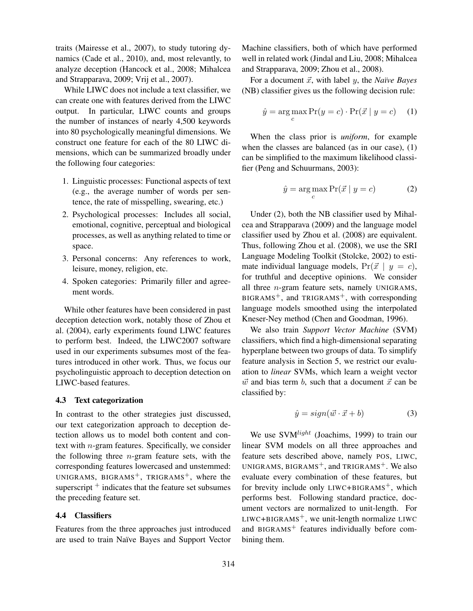traits (Mairesse et al., 2007), to study tutoring dynamics (Cade et al., 2010), and, most relevantly, to analyze deception (Hancock et al., 2008; Mihalcea and Strapparava, 2009; Vrij et al., 2007).

While LIWC does not include a text classifier, we can create one with features derived from the LIWC output. In particular, LIWC counts and groups the number of instances of nearly 4,500 keywords into 80 psychologically meaningful dimensions. We construct one feature for each of the 80 LIWC dimensions, which can be summarized broadly under the following four categories:

- 1. Linguistic processes: Functional aspects of text (e.g., the average number of words per sentence, the rate of misspelling, swearing, etc.)
- 2. Psychological processes: Includes all social, emotional, cognitive, perceptual and biological processes, as well as anything related to time or space.
- 3. Personal concerns: Any references to work, leisure, money, religion, etc.
- 4. Spoken categories: Primarily filler and agreement words.

While other features have been considered in past deception detection work, notably those of Zhou et al. (2004), early experiments found LIWC features to perform best. Indeed, the LIWC2007 software used in our experiments subsumes most of the features introduced in other work. Thus, we focus our psycholinguistic approach to deception detection on LIWC-based features.

## 4.3 Text categorization

In contrast to the other strategies just discussed, our text categorization approach to deception detection allows us to model both content and context with  $n$ -gram features. Specifically, we consider the following three  $n$ -gram feature sets, with the corresponding features lowercased and unstemmed: UNIGRAMS, BIGRAMS<sup>+</sup>, TRIGRAMS<sup>+</sup>, where the superscript  $+$  indicates that the feature set subsumes the preceding feature set.

## 4.4 Classifiers

Features from the three approaches just introduced are used to train Na¨ıve Bayes and Support Vector Machine classifiers, both of which have performed well in related work (Jindal and Liu, 2008; Mihalcea and Strapparava, 2009; Zhou et al., 2008).

For a document  $\vec{x}$ , with label  $y$ , the *Naïve Bayes* (NB) classifier gives us the following decision rule:

$$
\hat{y} = \underset{c}{\arg\max} \Pr(y = c) \cdot \Pr(\vec{x} \mid y = c) \quad (1)
$$

When the class prior is *uniform*, for example when the classes are balanced (as in our case), (1) can be simplified to the maximum likelihood classifier (Peng and Schuurmans, 2003):

$$
\hat{y} = \underset{c}{\arg\max} \Pr(\vec{x} \mid y = c) \tag{2}
$$

Under (2), both the NB classifier used by Mihalcea and Strapparava (2009) and the language model classifier used by Zhou et al. (2008) are equivalent. Thus, following Zhou et al. (2008), we use the SRI Language Modeling Toolkit (Stolcke, 2002) to estimate individual language models,  $Pr(\vec{x} | y = c)$ , for truthful and deceptive opinions. We consider all three  $n$ -gram feature sets, namely UNIGRAMS,  $BIGRAMS^{+}$ , and TRIGRAMS<sup>+</sup>, with corresponding language models smoothed using the interpolated Kneser-Ney method (Chen and Goodman, 1996).

We also train *Support Vector Machine* (SVM) classifiers, which find a high-dimensional separating hyperplane between two groups of data. To simplify feature analysis in Section 5, we restrict our evaluation to *linear* SVMs, which learn a weight vector  $\vec{w}$  and bias term b, such that a document  $\vec{x}$  can be classified by:

$$
\hat{y} = sign(\vec{w} \cdot \vec{x} + b) \tag{3}
$$

We use SVM*light* (Joachims, 1999) to train our linear SVM models on all three approaches and feature sets described above, namely POS, LIWC, UNIGRAMS, BIGRAMS<sup>+</sup>, and TRIGRAMS<sup>+</sup>. We also evaluate every combination of these features, but for brevity include only  $LIWC + BIGRAMS^{+}$ , which performs best. Following standard practice, document vectors are normalized to unit-length. For  $L$ IWC+BIGRAMS<sup>+</sup>, we unit-length normalize LIWC and BIGRAMS<sup>+</sup> features individually before combining them.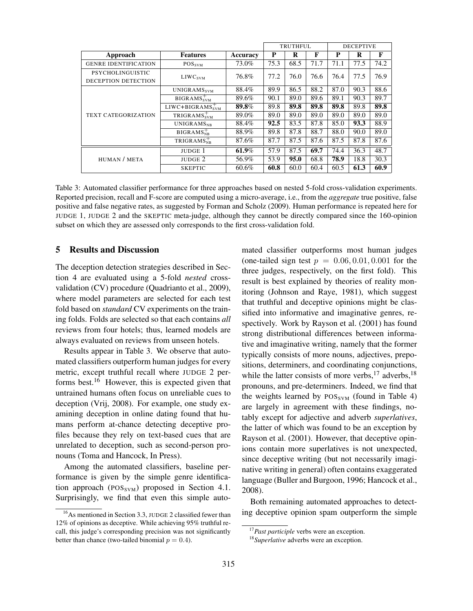|                             |                              | TRUTHFUL. |      |      | <b>DECEPTIVE</b> |      |      |      |
|-----------------------------|------------------------------|-----------|------|------|------------------|------|------|------|
| Approach                    | <b>Features</b>              | Accuracy  | P    | R    | F                | P    | R    | F    |
| <b>GENRE IDENTIFICATION</b> | <b>POS</b> <sub>SVM</sub>    | 73.0%     | 75.3 | 68.5 | 71.7             | 71.1 | 77.5 | 74.2 |
| <b>PSYCHOLINGUISTIC</b>     |                              | 76.8%     | 77.2 | 76.0 | 76.6             | 76.4 | 77.5 | 76.9 |
| DECEPTION DETECTION         | LIWC <sub>SVM</sub>          |           |      |      |                  |      |      |      |
| <b>TEXT CATEGORIZATION</b>  | UNIGRAMS <sub>SVM</sub>      | 88.4%     | 89.9 | 86.5 | 88.2             | 87.0 | 90.3 | 88.6 |
|                             | BIGRAMS <sub>SVM</sub>       | 89.6%     | 90.1 | 89.0 | 89.6             | 89.1 | 90.3 | 89.7 |
|                             | $LIWC + BIGRAMSSVM$          | 89.8%     | 89.8 | 89.8 | 89.8             | 89.8 | 89.8 | 89.8 |
|                             | $TRIGRAMS_{SVM}^+$           | 89.0%     | 89.0 | 89.0 | 89.0             | 89.0 | 89.0 | 89.0 |
|                             | <b>UNIGRAMS<sub>NR</sub></b> | 88.4%     | 92.5 | 83.5 | 87.8             | 85.0 | 93.3 | 88.9 |
|                             | $BIGRAMSNP+$                 | 88.9%     | 89.8 | 87.8 | 88.7             | 88.0 | 90.0 | 89.0 |
|                             | $TRIGRAMSNB+$                | 87.6%     | 87.7 | 87.5 | 87.6             | 87.5 | 87.8 | 87.6 |
|                             | JUDGE 1                      | 61.9%     | 57.9 | 87.5 | 69.7             | 74.4 | 36.3 | 48.7 |
| HUMAN / META                | JUDGE 2                      | 56.9%     | 53.9 | 95.0 | 68.8             | 78.9 | 18.8 | 30.3 |
|                             | <b>SKEPTIC</b>               | 60.6%     | 60.8 | 60.0 | 60.4             | 60.5 | 61.3 | 60.9 |

Table 3: Automated classifier performance for three approaches based on nested 5-fold cross-validation experiments. Reported precision, recall and F-score are computed using a micro-average, i.e., from the *aggregate* true positive, false positive and false negative rates, as suggested by Forman and Scholz (2009). Human performance is repeated here for JUDGE 1, JUDGE 2 and the SKEPTIC meta-judge, although they cannot be directly compared since the 160-opinion subset on which they are assessed only corresponds to the first cross-validation fold.

# 5 Results and Discussion

The deception detection strategies described in Section 4 are evaluated using a 5-fold *nested* crossvalidation (CV) procedure (Quadrianto et al., 2009), where model parameters are selected for each test fold based on *standard* CV experiments on the training folds. Folds are selected so that each contains *all* reviews from four hotels; thus, learned models are always evaluated on reviews from unseen hotels.

Results appear in Table 3. We observe that automated classifiers outperform human judges for every metric, except truthful recall where JUDGE 2 performs best. $16$  However, this is expected given that untrained humans often focus on unreliable cues to deception (Vrij, 2008). For example, one study examining deception in online dating found that humans perform at-chance detecting deceptive profiles because they rely on text-based cues that are unrelated to deception, such as second-person pronouns (Toma and Hancock, In Press).

Among the automated classifiers, baseline performance is given by the simple genre identification approach ( $POS_{SVM}$ ) proposed in Section 4.1. Surprisingly, we find that even this simple automated classifier outperforms most human judges (one-tailed sign test  $p = 0.06, 0.01, 0.001$  for the three judges, respectively, on the first fold). This result is best explained by theories of reality monitoring (Johnson and Raye, 1981), which suggest that truthful and deceptive opinions might be classified into informative and imaginative genres, respectively. Work by Rayson et al. (2001) has found strong distributional differences between informative and imaginative writing, namely that the former typically consists of more nouns, adjectives, prepositions, determiners, and coordinating conjunctions, while the latter consists of more verbs,  $17$  adverbs,  $18$ pronouns, and pre-determiners. Indeed, we find that the weights learned by  $POS_{SVM}$  (found in Table 4) are largely in agreement with these findings, notably except for adjective and adverb *superlatives*, the latter of which was found to be an exception by Rayson et al. (2001). However, that deceptive opinions contain more superlatives is not unexpected, since deceptive writing (but not necessarily imaginative writing in general) often contains exaggerated language (Buller and Burgoon, 1996; Hancock et al., 2008).

Both remaining automated approaches to detecting deceptive opinion spam outperform the simple

<sup>16</sup>As mentioned in Section 3.3, JUDGE 2 classified fewer than 12% of opinions as deceptive. While achieving 95% truthful recall, this judge's corresponding precision was not significantly better than chance (two-tailed binomial  $p = 0.4$ ).

<sup>&</sup>lt;sup>17</sup>Past participle verbs were an exception.

<sup>&</sup>lt;sup>18</sup>*Superlative* adverbs were an exception.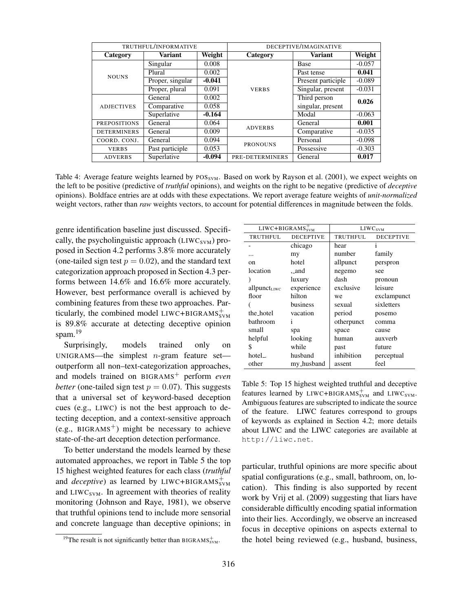| TRUTHFUL/INFORMATIVE              |                  |          | DECEPTIVE/IMAGINATIVE |                    |          |  |
|-----------------------------------|------------------|----------|-----------------------|--------------------|----------|--|
| Category                          | <b>Variant</b>   | Weight   | Category              | <b>Variant</b>     | Weight   |  |
|                                   | Singular         | 0.008    |                       | Base               | $-0.057$ |  |
| <b>NOUNS</b><br><b>ADJECTIVES</b> | Plural           | 0.002    |                       | Past tense         | 0.041    |  |
|                                   | Proper, singular | $-0.041$ |                       | Present participle | $-0.089$ |  |
|                                   | Proper, plural   | 0.091    | <b>VERBS</b>          | Singular, present  | $-0.031$ |  |
|                                   | General          | 0.002    |                       | Third person       | 0.026    |  |
|                                   | Comparative      | 0.058    |                       | singular, present  |          |  |
|                                   | Superlative      | $-0.164$ |                       | Modal              | $-0.063$ |  |
| <b>PREPOSITIONS</b>               | General          | 0.064    | <b>ADVERBS</b>        | General            | 0.001    |  |
| <b>DETERMINERS</b>                | General          | 0.009    |                       | Comparative        | $-0.035$ |  |
| COORD. CONJ.                      | General          | 0.094    | <b>PRONOUNS</b>       | Personal           | $-0.098$ |  |
| <b>VERBS</b>                      | Past participle  | 0.053    |                       | Possessive         | $-0.303$ |  |
| <b>ADVERBS</b>                    | Superlative      | $-0.094$ | PRE-DETERMINERS       | General            | 0.017    |  |

Table 4: Average feature weights learned by  $POS_{SVM}$ . Based on work by Rayson et al. (2001), we expect weights on the left to be positive (predictive of *truthful* opinions), and weights on the right to be negative (predictive of *deceptive* opinions). Boldface entries are at odds with these expectations. We report average feature weights of *unit-normalized* weight vectors, rather than *raw* weights vectors, to account for potential differences in magnitude between the folds.

genre identification baseline just discussed. Specifically, the psycholinguistic approach ( $LIWC<sub>SVM</sub>$ ) proposed in Section 4.2 performs 3.8% more accurately (one-tailed sign test  $p = 0.02$ ), and the standard text categorization approach proposed in Section 4.3 performs between 14.6% and 16.6% more accurately. However, best performance overall is achieved by combining features from these two approaches. Particularly, the combined model LIWC+BIGRAMS $_{\text{SVM}}^{+}$ is 89.8% accurate at detecting deceptive opinion spam. $19$ 

Surprisingly, models trained only on UNIGRAMS—the simplest  $n$ -gram feature set outperform all non–text-categorization approaches, and models trained on BIGRAMS<sup>+</sup> perform *even better* (one-tailed sign test  $p = 0.07$ ). This suggests that a universal set of keyword-based deception cues (e.g., LIWC) is not the best approach to detecting deception, and a context-sensitive approach (e.g.,  $BIGRAMS^{+}$ ) might be necessary to achieve state-of-the-art deception detection performance.

To better understand the models learned by these automated approaches, we report in Table 5 the top 15 highest weighted features for each class (*truthful* and *deceptive*) as learned by LIWC+BIGRAMS $_{\text{SVM}}^{+}$ and  $LIWC<sub>SVM</sub>$ . In agreement with theories of reality monitoring (Johnson and Raye, 1981), we observe that truthful opinions tend to include more sensorial and concrete language than deceptive opinions; in

| $LIWC + BIGRAMSsym$  |                  | LIWC <sub>SVM</sub> |                  |  |
|----------------------|------------------|---------------------|------------------|--|
| TRUTHFUL             | <b>DECEPTIVE</b> | TRUTHFUL            | <b>DECEPTIVE</b> |  |
|                      | chicago          | hear                | 1                |  |
| .                    | my               | number              | family           |  |
| 0n                   | hotel            | allpunct            | perspron         |  |
| location             | ._and            | negemo              | see              |  |
|                      | luxury           | dash                | pronoun          |  |
| $all punct_{LIWC}$   | experience       | exclusive           | leisure          |  |
| floor                | hilton           | we                  | exclampunct      |  |
|                      | business         | sexual              | sixletters       |  |
| the hotel            | vacation         | period              | posemo           |  |
| bathroom             | 1                | otherpunct          | comma            |  |
| small                | spa              | space               | cause            |  |
| helpful              | looking          | human               | auxverb          |  |
| \$                   | while            | past                | future           |  |
| hotel <sub>-</sub> . | husband          | inhibition          | perceptual       |  |
| other                | my_husband       | assent              | feel             |  |

Table 5: Top 15 highest weighted truthful and deceptive features learned by LIWC+BIGRAMS $_{\text{SVM}}^{+}$  and LIWC<sub>SVM</sub>. Ambiguous features are subscripted to indicate the source of the feature. LIWC features correspond to groups of keywords as explained in Section 4.2; more details about LIWC and the LIWC categories are available at http://liwc.net.

particular, truthful opinions are more specific about spatial configurations (e.g., small, bathroom, on, location). This finding is also supported by recent work by Vrij et al. (2009) suggesting that liars have considerable difficultly encoding spatial information into their lies. Accordingly, we observe an increased focus in deceptive opinions on aspects external to the hotel being reviewed (e.g., husband, business,

<sup>&</sup>lt;sup>19</sup>The result is not significantly better than BIGRAMS<sub>SVM</sub>.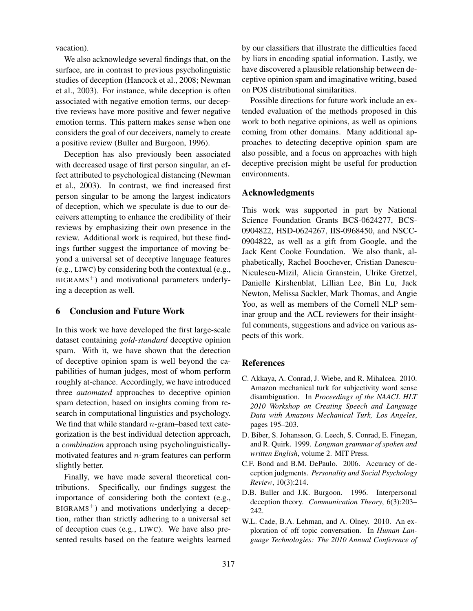vacation).

We also acknowledge several findings that, on the surface, are in contrast to previous psycholinguistic studies of deception (Hancock et al., 2008; Newman et al., 2003). For instance, while deception is often associated with negative emotion terms, our deceptive reviews have more positive and fewer negative emotion terms. This pattern makes sense when one considers the goal of our deceivers, namely to create a positive review (Buller and Burgoon, 1996).

Deception has also previously been associated with decreased usage of first person singular, an effect attributed to psychological distancing (Newman et al., 2003). In contrast, we find increased first person singular to be among the largest indicators of deception, which we speculate is due to our deceivers attempting to enhance the credibility of their reviews by emphasizing their own presence in the review. Additional work is required, but these findings further suggest the importance of moving beyond a universal set of deceptive language features (e.g., LIWC) by considering both the contextual (e.g.,  $BIGRAMS<sup>+</sup>$ ) and motivational parameters underlying a deception as well.

### 6 Conclusion and Future Work

In this work we have developed the first large-scale dataset containing *gold-standard* deceptive opinion spam. With it, we have shown that the detection of deceptive opinion spam is well beyond the capabilities of human judges, most of whom perform roughly at-chance. Accordingly, we have introduced three *automated* approaches to deceptive opinion spam detection, based on insights coming from research in computational linguistics and psychology. We find that while standard  $n$ -gram–based text categorization is the best individual detection approach, a *combination* approach using psycholinguisticallymotivated features and n-gram features can perform slightly better.

Finally, we have made several theoretical contributions. Specifically, our findings suggest the importance of considering both the context (e.g.,  $BIGRAMS<sup>+</sup>$  and motivations underlying a deception, rather than strictly adhering to a universal set of deception cues (e.g., LIWC). We have also presented results based on the feature weights learned by our classifiers that illustrate the difficulties faced by liars in encoding spatial information. Lastly, we have discovered a plausible relationship between deceptive opinion spam and imaginative writing, based on POS distributional similarities.

Possible directions for future work include an extended evaluation of the methods proposed in this work to both negative opinions, as well as opinions coming from other domains. Many additional approaches to detecting deceptive opinion spam are also possible, and a focus on approaches with high deceptive precision might be useful for production environments.

### Acknowledgments

This work was supported in part by National Science Foundation Grants BCS-0624277, BCS-0904822, HSD-0624267, IIS-0968450, and NSCC-0904822, as well as a gift from Google, and the Jack Kent Cooke Foundation. We also thank, alphabetically, Rachel Boochever, Cristian Danescu-Niculescu-Mizil, Alicia Granstein, Ulrike Gretzel, Danielle Kirshenblat, Lillian Lee, Bin Lu, Jack Newton, Melissa Sackler, Mark Thomas, and Angie Yoo, as well as members of the Cornell NLP seminar group and the ACL reviewers for their insightful comments, suggestions and advice on various aspects of this work.

### **References**

- C. Akkaya, A. Conrad, J. Wiebe, and R. Mihalcea. 2010. Amazon mechanical turk for subjectivity word sense disambiguation. In *Proceedings of the NAACL HLT 2010 Workshop on Creating Speech and Language Data with Amazons Mechanical Turk, Los Angeles*, pages 195–203.
- D. Biber, S. Johansson, G. Leech, S. Conrad, E. Finegan, and R. Quirk. 1999. *Longman grammar of spoken and written English*, volume 2. MIT Press.
- C.F. Bond and B.M. DePaulo. 2006. Accuracy of deception judgments. *Personality and Social Psychology Review*, 10(3):214.
- D.B. Buller and J.K. Burgoon. 1996. Interpersonal deception theory. *Communication Theory*, 6(3):203– 242.
- W.L. Cade, B.A. Lehman, and A. Olney. 2010. An exploration of off topic conversation. In *Human Language Technologies: The 2010 Annual Conference of*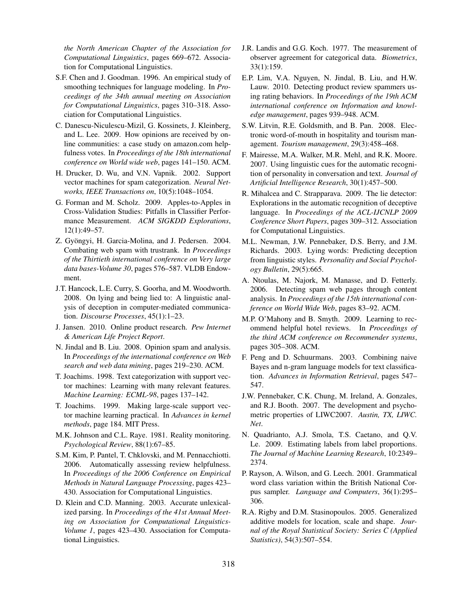*the North American Chapter of the Association for Computational Linguistics*, pages 669–672. Association for Computational Linguistics.

- S.F. Chen and J. Goodman. 1996. An empirical study of smoothing techniques for language modeling. In *Proceedings of the 34th annual meeting on Association for Computational Linguistics*, pages 310–318. Association for Computational Linguistics.
- C. Danescu-Niculescu-Mizil, G. Kossinets, J. Kleinberg, and L. Lee. 2009. How opinions are received by online communities: a case study on amazon.com helpfulness votes. In *Proceedings of the 18th international conference on World wide web*, pages 141–150. ACM.
- H. Drucker, D. Wu, and V.N. Vapnik. 2002. Support vector machines for spam categorization. *Neural Networks, IEEE Transactions on*, 10(5):1048–1054.
- G. Forman and M. Scholz. 2009. Apples-to-Apples in Cross-Validation Studies: Pitfalls in Classifier Performance Measurement. *ACM SIGKDD Explorations*, 12(1):49–57.
- Z. Gyöngyi, H. Garcia-Molina, and J. Pedersen. 2004. Combating web spam with trustrank. In *Proceedings of the Thirtieth international conference on Very large data bases-Volume 30*, pages 576–587. VLDB Endowment.
- J.T. Hancock, L.E. Curry, S. Goorha, and M. Woodworth. 2008. On lying and being lied to: A linguistic analysis of deception in computer-mediated communication. *Discourse Processes*, 45(1):1–23.
- J. Jansen. 2010. Online product research. *Pew Internet & American Life Project Report*.
- N. Jindal and B. Liu. 2008. Opinion spam and analysis. In *Proceedings of the international conference on Web search and web data mining*, pages 219–230. ACM.
- T. Joachims. 1998. Text categorization with support vector machines: Learning with many relevant features. *Machine Learning: ECML-98*, pages 137–142.
- T. Joachims. 1999. Making large-scale support vector machine learning practical. In *Advances in kernel methods*, page 184. MIT Press.
- M.K. Johnson and C.L. Raye. 1981. Reality monitoring. *Psychological Review*, 88(1):67–85.
- S.M. Kim, P. Pantel, T. Chklovski, and M. Pennacchiotti. 2006. Automatically assessing review helpfulness. In *Proceedings of the 2006 Conference on Empirical Methods in Natural Language Processing*, pages 423– 430. Association for Computational Linguistics.
- D. Klein and C.D. Manning. 2003. Accurate unlexicalized parsing. In *Proceedings of the 41st Annual Meeting on Association for Computational Linguistics-Volume 1*, pages 423–430. Association for Computational Linguistics.
- J.R. Landis and G.G. Koch. 1977. The measurement of observer agreement for categorical data. *Biometrics*, 33(1):159.
- E.P. Lim, V.A. Nguyen, N. Jindal, B. Liu, and H.W. Lauw. 2010. Detecting product review spammers using rating behaviors. In *Proceedings of the 19th ACM international conference on Information and knowledge management*, pages 939–948. ACM.
- S.W. Litvin, R.E. Goldsmith, and B. Pan. 2008. Electronic word-of-mouth in hospitality and tourism management. *Tourism management*, 29(3):458–468.
- F. Mairesse, M.A. Walker, M.R. Mehl, and R.K. Moore. 2007. Using linguistic cues for the automatic recognition of personality in conversation and text. *Journal of Artificial Intelligence Research*, 30(1):457–500.
- R. Mihalcea and C. Strapparava. 2009. The lie detector: Explorations in the automatic recognition of deceptive language. In *Proceedings of the ACL-IJCNLP 2009 Conference Short Papers*, pages 309–312. Association for Computational Linguistics.
- M.L. Newman, J.W. Pennebaker, D.S. Berry, and J.M. Richards. 2003. Lying words: Predicting deception from linguistic styles. *Personality and Social Psychology Bulletin*, 29(5):665.
- A. Ntoulas, M. Najork, M. Manasse, and D. Fetterly. 2006. Detecting spam web pages through content analysis. In *Proceedings of the 15th international conference on World Wide Web*, pages 83–92. ACM.
- M.P. O'Mahony and B. Smyth. 2009. Learning to recommend helpful hotel reviews. In *Proceedings of the third ACM conference on Recommender systems*, pages 305–308. ACM.
- F. Peng and D. Schuurmans. 2003. Combining naive Bayes and n-gram language models for text classification. *Advances in Information Retrieval*, pages 547– 547.
- J.W. Pennebaker, C.K. Chung, M. Ireland, A. Gonzales, and R.J. Booth. 2007. The development and psychometric properties of LIWC2007. *Austin, TX, LIWC. Net*.
- N. Quadrianto, A.J. Smola, T.S. Caetano, and Q.V. Le. 2009. Estimating labels from label proportions. *The Journal of Machine Learning Research*, 10:2349– 2374.
- P. Rayson, A. Wilson, and G. Leech. 2001. Grammatical word class variation within the British National Corpus sampler. *Language and Computers*, 36(1):295– 306.
- R.A. Rigby and D.M. Stasinopoulos. 2005. Generalized additive models for location, scale and shape. *Journal of the Royal Statistical Society: Series C (Applied Statistics)*, 54(3):507–554.